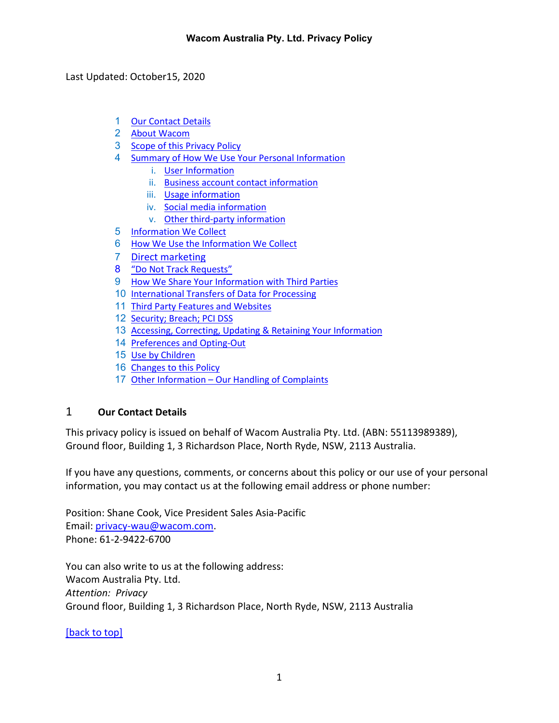<span id="page-0-1"></span>Last Updated: October15, 2020

- 1 [Our Contact Details](#page-0-0)
- 2 [About Wacom](#page-1-0)
- 3 [Scope of this Privacy Policy](#page-1-1)
- 4 [Summary of How We Use Your Personal Information](#page-1-2)
	- i. [User Information](#page-2-0)
	- ii. [Business account contact information](#page-2-1)
	- iii. [Usage information](#page-2-2)
	- iv. [Social media information](#page-2-3)
	- v. [Other third-party information](#page-3-0)
- 5 [Information We Collect](#page-3-1)
- 6 [How We Use the Information We Collect](#page-5-0)
- 7 [Direct marketing](#page-7-0)
- 8 ["Do Not Track Requests"](#page-9-0)
- 9 [How We Share Your Information with Third Parties](#page-9-1)
- 10 [International Transfers of Data for Processing](#page-11-0)
- 11 [Third Party Features and Websites](#page-12-0)
- 12 [Security; Breach; PCI DSS](#page-12-1)
- 13 [Accessing, Correcting, Updating & Retaining Your Information](#page-13-0)
- 14 [Preferences and Opting-Out](#page-14-0)
- 15 [Use by Children](#page-14-1)
- 16 [Changes to this Policy](#page-14-2)
- 17 Other Information [Our Handling of Complaints](#page-15-0)

## <span id="page-0-0"></span>1 **Our Contact Details**

This privacy policy is issued on behalf of Wacom Australia Pty. Ltd. (ABN: 55113989389), Ground floor, Building 1, 3 Richardson Place, North Ryde, NSW, 2113 Australia.

If you have any questions, comments, or concerns about this policy or our use of your personal information, you may contact us at the following email address or phone number:

Position: Shane Cook, Vice President Sales Asia-Pacific Email: [privacy-wau@wacom.com.](mailto:privacy-wau@wacom.com) Phone: 61-2-9422-6700

You can also write to us at the following address: Wacom Australia Pty. Ltd. *Attention: Privacy* Ground floor, Building 1, 3 Richardson Place, North Ryde, NSW, 2113 Australia

## [\[back to top\]](#page-0-1)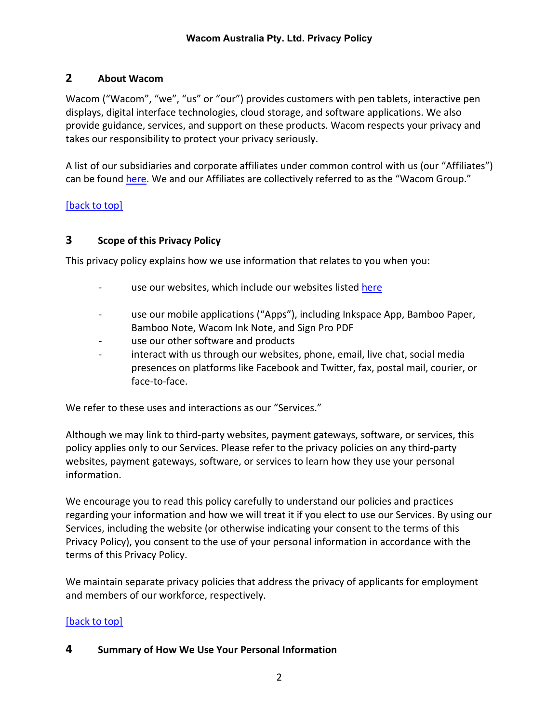## <span id="page-1-0"></span>**2 About Wacom**

Wacom ("Wacom", "we", "us" or "our") provides customers with pen tablets, interactive pen displays, digital interface technologies, cloud storage, and software applications. We also provide guidance, services, and support on these products. Wacom respects your privacy and takes our responsibility to protect your privacy seriously.

A list of our subsidiaries and corporate affiliates under common control with us (our "Affiliates") can be found [here.](https://www.wacom.com/about-wacom) We and our Affiliates are collectively referred to as the "Wacom Group."

#### [\[back to top\]](#page-0-1)

#### <span id="page-1-1"></span>**3 Scope of this Privacy Policy**

This privacy policy explains how we use information that relates to you when you:

- use our websites, which include our websites listed [here](https://www.wacom.com/websites)
- use our mobile applications ("Apps"), including Inkspace App, Bamboo Paper, Bamboo Note, Wacom Ink Note, and Sign Pro PDF
- use our other software and products
- interact with us through our websites, phone, email, live chat, social media presences on platforms like Facebook and Twitter, fax, postal mail, courier, or face-to-face.

We refer to these uses and interactions as our "Services."

Although we may link to third-party websites, payment gateways, software, or services, this policy applies only to our Services. Please refer to the privacy policies on any third-party websites, payment gateways, software, or services to learn how they use your personal information.

We encourage you to read this policy carefully to understand our policies and practices regarding your information and how we will treat it if you elect to use our Services. By using our Services, including the website (or otherwise indicating your consent to the terms of this Privacy Policy), you consent to the use of your personal information in accordance with the terms of this Privacy Policy.

We maintain separate privacy policies that address the privacy of applicants for employment and members of our workforce, respectively.

#### [\[back to top\]](#page-0-1)

#### <span id="page-1-2"></span>**4 Summary of How We Use Your Personal Information**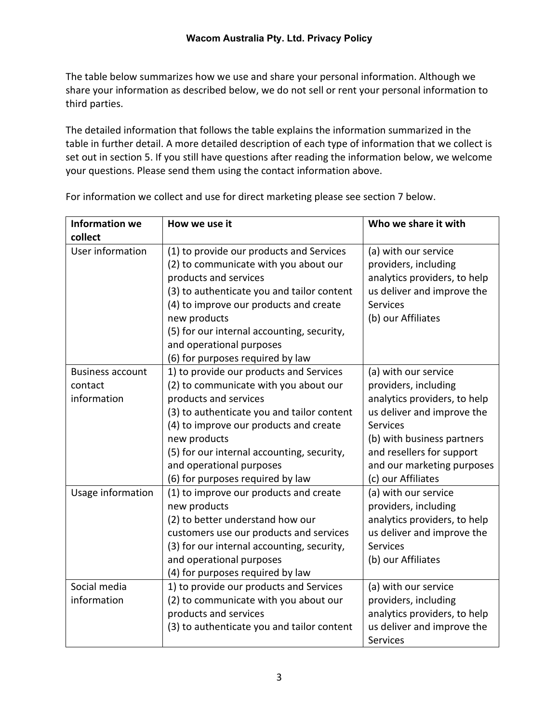The table below summarizes how we use and share your personal information. Although we share your information as described below, we do not sell or rent your personal information to third parties.

The detailed information that follows the table explains the information summarized in the table in further detail. A more detailed description of each type of information that we collect is set out in section 5. If you still have questions after reading the information below, we welcome your questions. Please send them using the contact information above.

<span id="page-2-3"></span><span id="page-2-2"></span><span id="page-2-1"></span><span id="page-2-0"></span>

| <b>Information we</b>                             | How we use it                                                                                                                                                                                                                                                                                                                                                       | Who we share it with                                                                                                                                                                                                                         |
|---------------------------------------------------|---------------------------------------------------------------------------------------------------------------------------------------------------------------------------------------------------------------------------------------------------------------------------------------------------------------------------------------------------------------------|----------------------------------------------------------------------------------------------------------------------------------------------------------------------------------------------------------------------------------------------|
| collect                                           |                                                                                                                                                                                                                                                                                                                                                                     |                                                                                                                                                                                                                                              |
| User information                                  | (1) to provide our products and Services<br>(2) to communicate with you about our<br>products and services<br>(3) to authenticate you and tailor content<br>(4) to improve our products and create<br>new products<br>(5) for our internal accounting, security,                                                                                                    | (a) with our service<br>providers, including<br>analytics providers, to help<br>us deliver and improve the<br><b>Services</b><br>(b) our Affiliates                                                                                          |
|                                                   | and operational purposes                                                                                                                                                                                                                                                                                                                                            |                                                                                                                                                                                                                                              |
| <b>Business account</b><br>contact<br>information | (6) for purposes required by law<br>1) to provide our products and Services<br>(2) to communicate with you about our<br>products and services<br>(3) to authenticate you and tailor content<br>(4) to improve our products and create<br>new products<br>(5) for our internal accounting, security,<br>and operational purposes<br>(6) for purposes required by law | (a) with our service<br>providers, including<br>analytics providers, to help<br>us deliver and improve the<br><b>Services</b><br>(b) with business partners<br>and resellers for support<br>and our marketing purposes<br>(c) our Affiliates |
| Usage information                                 | (1) to improve our products and create<br>new products<br>(2) to better understand how our<br>customers use our products and services<br>(3) for our internal accounting, security,<br>and operational purposes<br>(4) for purposes required by law                                                                                                                 | (a) with our service<br>providers, including<br>analytics providers, to help<br>us deliver and improve the<br><b>Services</b><br>(b) our Affiliates                                                                                          |
| Social media<br>information                       | 1) to provide our products and Services<br>(2) to communicate with you about our<br>products and services<br>(3) to authenticate you and tailor content                                                                                                                                                                                                             | (a) with our service<br>providers, including<br>analytics providers, to help<br>us deliver and improve the<br><b>Services</b>                                                                                                                |

For information we collect and use for direct marketing please see section 7 below.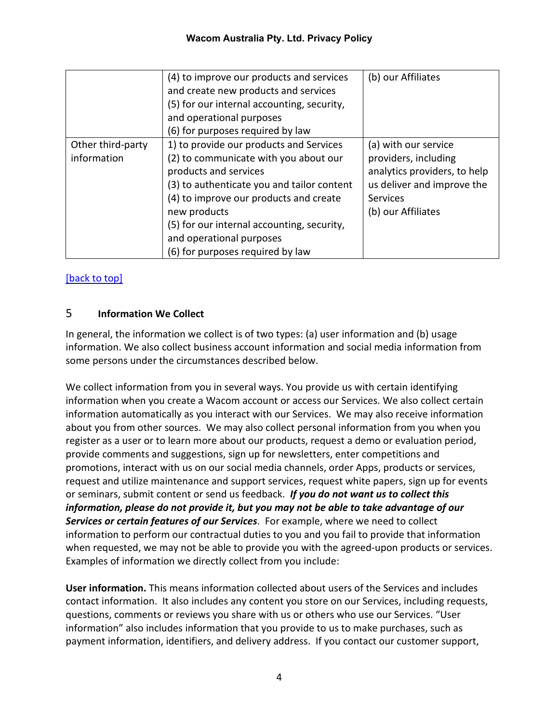<span id="page-3-0"></span>

|                                  | (4) to improve our products and services<br>and create new products and services<br>(5) for our internal accounting, security,<br>and operational purposes<br>(6) for purposes required by law                                                                                                                                  | (b) our Affiliates                                                                                                                                  |
|----------------------------------|---------------------------------------------------------------------------------------------------------------------------------------------------------------------------------------------------------------------------------------------------------------------------------------------------------------------------------|-----------------------------------------------------------------------------------------------------------------------------------------------------|
| Other third-party<br>information | 1) to provide our products and Services<br>(2) to communicate with you about our<br>products and services<br>(3) to authenticate you and tailor content<br>(4) to improve our products and create<br>new products<br>(5) for our internal accounting, security,<br>and operational purposes<br>(6) for purposes required by law | (a) with our service<br>providers, including<br>analytics providers, to help<br>us deliver and improve the<br><b>Services</b><br>(b) our Affiliates |

# [\[back to top\]](#page-0-1)

## <span id="page-3-1"></span>5 **Information We Collect**

In general, the information we collect is of two types: (a) user information and (b) usage information. We also collect business account information and social media information from some persons under the circumstances described below.

We collect information from you in several ways. You provide us with certain identifying information when you create a Wacom account or access our Services. We also collect certain information automatically as you interact with our Services. We may also receive information about you from other sources. We may also collect personal information from you when you register as a user or to learn more about our products, request a demo or evaluation period, provide comments and suggestions, sign up for newsletters, enter competitions and promotions, interact with us on our social media channels, order Apps, products or services, request and utilize maintenance and support services, request white papers, sign up for events or seminars, submit content or send us feedback. *If you do not want us to collect this information, please do not provide it, but you may not be able to take advantage of our Services or certain features of our Services*. For example, where we need to collect information to perform our contractual duties to you and you fail to provide that information when requested, we may not be able to provide you with the agreed-upon products or services. Examples of information we directly collect from you include:

**User information.** This means information collected about users of the Services and includes contact information. It also includes any content you store on our Services, including requests, questions, comments or reviews you share with us or others who use our Services. "User information" also includes information that you provide to us to make purchases, such as payment information, identifiers, and delivery address. If you contact our customer support,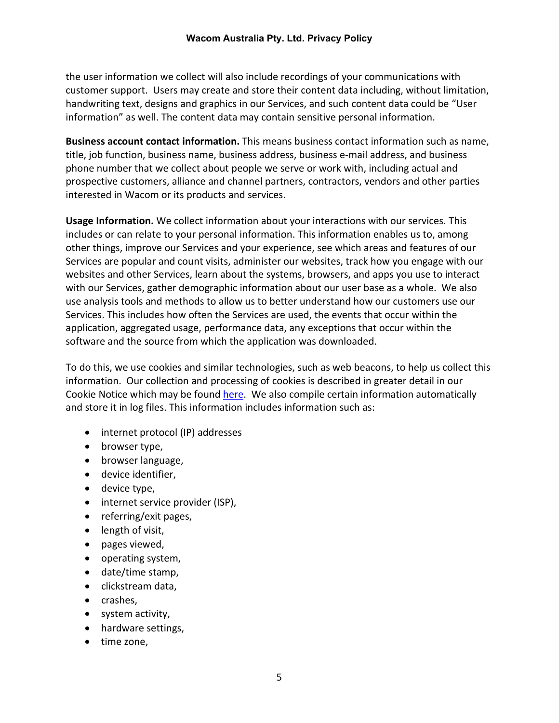the user information we collect will also include recordings of your communications with customer support. Users may create and store their content data including, without limitation, handwriting text, designs and graphics in our Services, and such content data could be "User information" as well. The content data may contain sensitive personal information.

**Business account contact information.** This means business contact information such as name, title, job function, business name, business address, business e-mail address, and business phone number that we collect about people we serve or work with, including actual and prospective customers, alliance and channel partners, contractors, vendors and other parties interested in Wacom or its products and services.

**Usage Information.** We collect information about your interactions with our services. This includes or can relate to your personal information. This information enables us to, among other things, improve our Services and your experience, see which areas and features of our Services are popular and count visits, administer our websites, track how you engage with our websites and other Services, learn about the systems, browsers, and apps you use to interact with our Services, gather demographic information about our user base as a whole. We also use analysis tools and methods to allow us to better understand how our customers use our Services. This includes how often the Services are used, the events that occur within the application, aggregated usage, performance data, any exceptions that occur within the software and the source from which the application was downloaded.

To do this, we use cookies and similar technologies, such as web beacons, to help us collect this information. Our collection and processing of cookies is described in greater detail in our Cookie Notice which may be found [here.](https://www.wacom.com/cookie-notice) We also compile certain information automatically and store it in log files. This information includes information such as:

- internet protocol (IP) addresses
- browser type,
- browser language,
- device identifier,
- device type,
- internet service provider (ISP),
- referring/exit pages,
- length of visit,
- pages viewed,
- operating system,
- date/time stamp,
- clickstream data,
- crashes,
- system activity,
- hardware settings,
- time zone,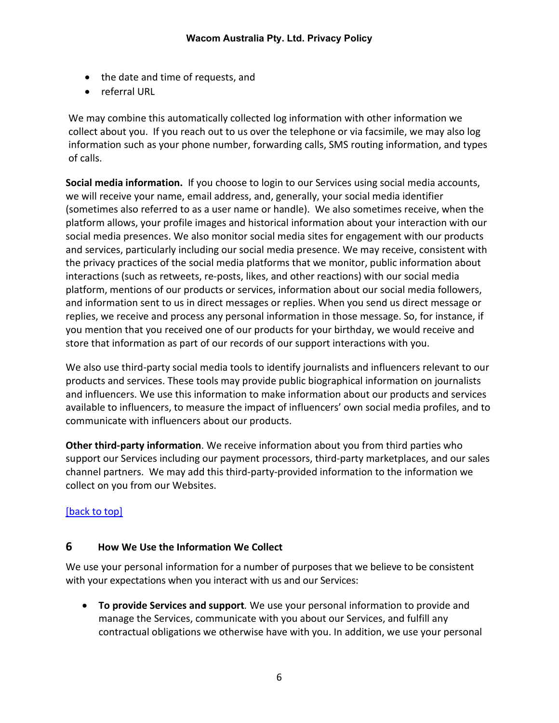- the date and time of requests, and
- referral URL

We may combine this automatically collected log information with other information we collect about you. If you reach out to us over the telephone or via facsimile, we may also log information such as your phone number, forwarding calls, SMS routing information, and types of calls.

**Social media information.** If you choose to login to our Services using social media accounts, we will receive your name, email address, and, generally, your social media identifier (sometimes also referred to as a user name or handle). We also sometimes receive, when the platform allows, your profile images and historical information about your interaction with our social media presences. We also monitor social media sites for engagement with our products and services, particularly including our social media presence. We may receive, consistent with the privacy practices of the social media platforms that we monitor, public information about interactions (such as retweets, re-posts, likes, and other reactions) with our social media platform, mentions of our products or services, information about our social media followers, and information sent to us in direct messages or replies. When you send us direct message or replies, we receive and process any personal information in those message. So, for instance, if you mention that you received one of our products for your birthday, we would receive and store that information as part of our records of our support interactions with you.

We also use third-party social media tools to identify journalists and influencers relevant to our products and services. These tools may provide public biographical information on journalists and influencers. We use this information to make information about our products and services available to influencers, to measure the impact of influencers' own social media profiles, and to communicate with influencers about our products.

**Other third-party information**. We receive information about you from third parties who support our Services including our payment processors, third-party marketplaces, and our sales channel partners. We may add this third-party-provided information to the information we collect on you from our Websites.

## [\[back to top\]](#page-0-1)

#### <span id="page-5-0"></span>**6 How We Use the Information We Collect**

We use your personal information for a number of purposes that we believe to be consistent with your expectations when you interact with us and our Services:

• **To provide Services and support***.* We use your personal information to provide and manage the Services, communicate with you about our Services, and fulfill any contractual obligations we otherwise have with you. In addition, we use your personal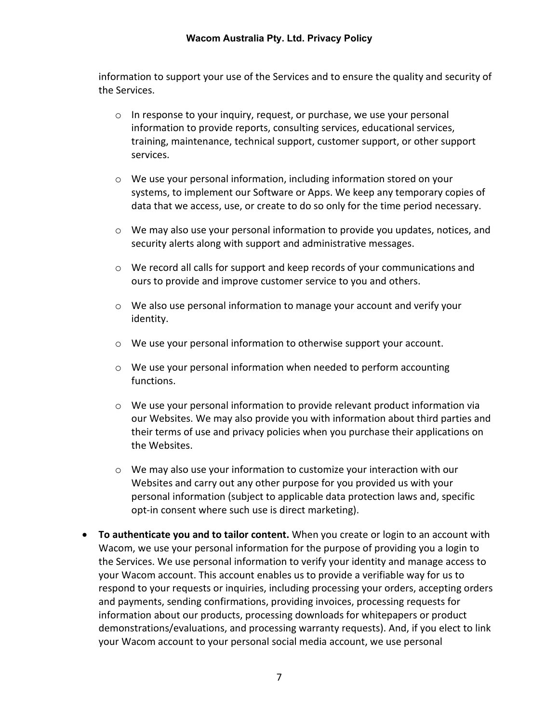#### **Wacom Australia Pty. Ltd. Privacy Policy**

information to support your use of the Services and to ensure the quality and security of the Services.

- o In response to your inquiry, request, or purchase, we use your personal information to provide reports, consulting services, educational services, training, maintenance, technical support, customer support, or other support services.
- o We use your personal information, including information stored on your systems, to implement our Software or Apps. We keep any temporary copies of data that we access, use, or create to do so only for the time period necessary.
- o We may also use your personal information to provide you updates, notices, and security alerts along with support and administrative messages.
- $\circ$  We record all calls for support and keep records of your communications and ours to provide and improve customer service to you and others.
- $\circ$  We also use personal information to manage your account and verify your identity.
- o We use your personal information to otherwise support your account.
- o We use your personal information when needed to perform accounting functions.
- $\circ$  We use your personal information to provide relevant product information via our Websites. We may also provide you with information about third parties and their terms of use and privacy policies when you purchase their applications on the Websites.
- $\circ$  We may also use your information to customize your interaction with our Websites and carry out any other purpose for you provided us with your personal information (subject to applicable data protection laws and, specific opt-in consent where such use is direct marketing).
- **To authenticate you and to tailor content.** When you create or login to an account with Wacom, we use your personal information for the purpose of providing you a login to the Services. We use personal information to verify your identity and manage access to your Wacom account. This account enables us to provide a verifiable way for us to respond to your requests or inquiries, including processing your orders, accepting orders and payments, sending confirmations, providing invoices, processing requests for information about our products, processing downloads for whitepapers or product demonstrations/evaluations, and processing warranty requests). And, if you elect to link your Wacom account to your personal social media account, we use personal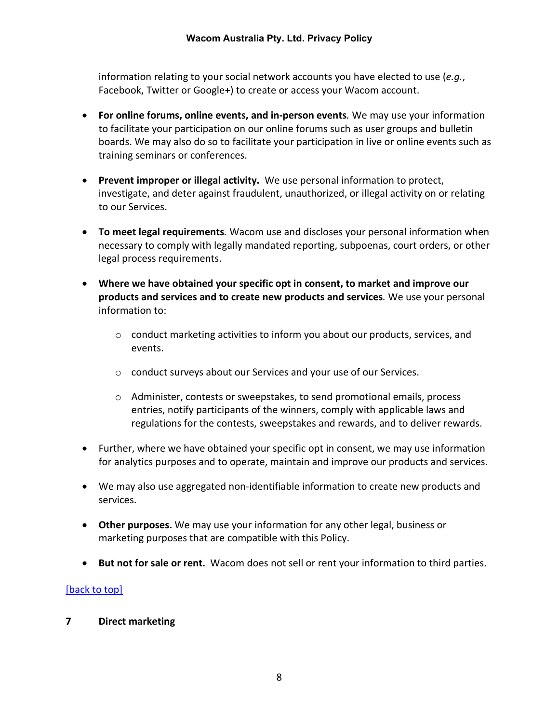information relating to your social network accounts you have elected to use (*e.g.*, Facebook, Twitter or Google+) to create or access your Wacom account.

- **For online forums, online events, and in-person events***.* We may use your information to facilitate your participation on our online forums such as user groups and bulletin boards. We may also do so to facilitate your participation in live or online events such as training seminars or conferences.
- **Prevent improper or illegal activity.** We use personal information to protect, investigate, and deter against fraudulent, unauthorized, or illegal activity on or relating to our Services.
- **To meet legal requirements***.* Wacom use and discloses your personal information when necessary to comply with legally mandated reporting, subpoenas, court orders, or other legal process requirements.
- **Where we have obtained your specific opt in consent, to market and improve our products and services and to create new products and services***.* We use your personal information to:
	- o conduct marketing activities to inform you about our products, services, and events.
	- o conduct surveys about our Services and your use of our Services.
	- o Administer, contests or sweepstakes, to send promotional emails, process entries, notify participants of the winners, comply with applicable laws and regulations for the contests, sweepstakes and rewards, and to deliver rewards.
- Further, where we have obtained your specific opt in consent, we may use information for analytics purposes and to operate, maintain and improve our products and services.
- We may also use aggregated non-identifiable information to create new products and services.
- **Other purposes.** We may use your information for any other legal, business or marketing purposes that are compatible with this Policy.
- **But not for sale or rent.** Wacom does not sell or rent your information to third parties.

## [\[back to top\]](#page-0-1)

<span id="page-7-0"></span>**7 Direct marketing**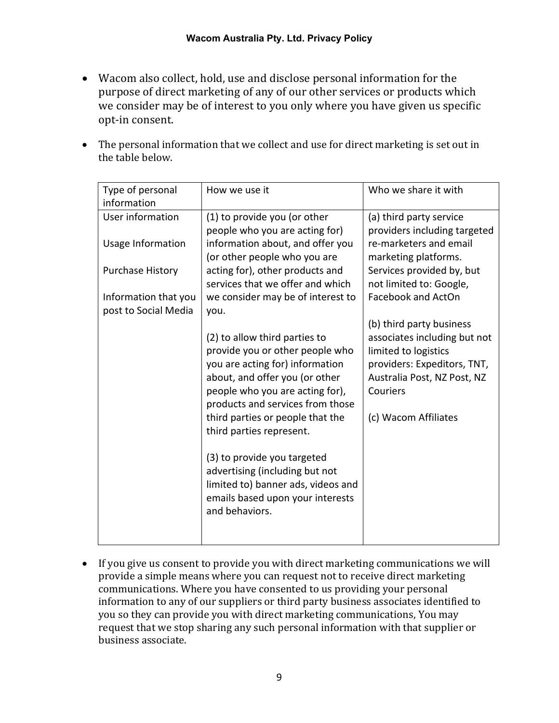- Wacom also collect, hold, use and disclose personal information for the purpose of direct marketing of any of our other services or products which we consider may be of interest to you only where you have given us specific opt-in consent.
- The personal information that we collect and use for direct marketing is set out in the table below.

| Type of personal                             | How we use it                                                                            | Who we share it with                                    |
|----------------------------------------------|------------------------------------------------------------------------------------------|---------------------------------------------------------|
| information                                  |                                                                                          |                                                         |
| User information                             | (1) to provide you (or other<br>people who you are acting for)                           | (a) third party service<br>providers including targeted |
| Usage Information                            | information about, and offer you<br>(or other people who you are                         | re-marketers and email<br>marketing platforms.          |
| <b>Purchase History</b>                      | acting for), other products and<br>services that we offer and which                      | Services provided by, but<br>not limited to: Google,    |
| Information that you<br>post to Social Media | we consider may be of interest to<br>you.                                                | Facebook and ActOn                                      |
|                                              |                                                                                          | (b) third party business                                |
|                                              | (2) to allow third parties to<br>provide you or other people who                         | associates including but not<br>limited to logistics    |
|                                              | you are acting for) information                                                          | providers: Expeditors, TNT,                             |
|                                              | about, and offer you (or other<br>people who you are acting for),                        | Australia Post, NZ Post, NZ<br>Couriers                 |
|                                              | products and services from those                                                         |                                                         |
|                                              | third parties or people that the<br>third parties represent.                             | (c) Wacom Affiliates                                    |
|                                              | (3) to provide you targeted<br>advertising (including but not                            |                                                         |
|                                              | limited to) banner ads, videos and<br>emails based upon your interests<br>and behaviors. |                                                         |
|                                              |                                                                                          |                                                         |

• If you give us consent to provide you with direct marketing communications we will provide a simple means where you can request not to receive direct marketing communications. Where you have consented to us providing your personal information to any of our suppliers or third party business associates identified to you so they can provide you with direct marketing communications, You may request that we stop sharing any such personal information with that supplier or business associate.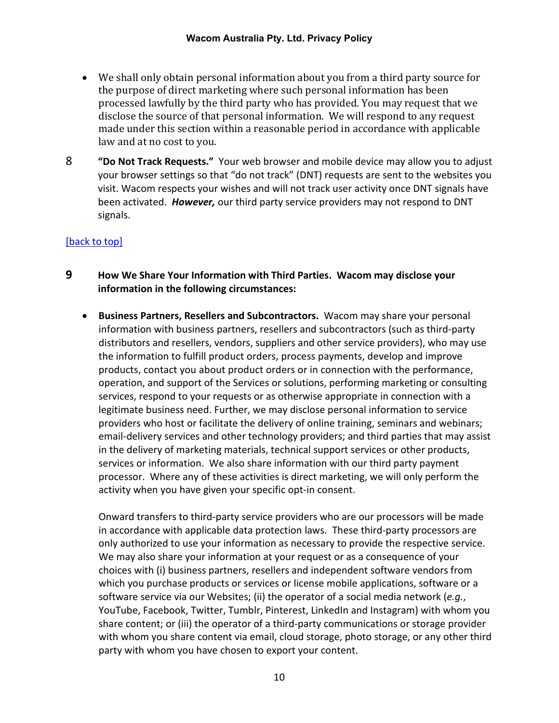- We shall only obtain personal information about you from a third party source for the purpose of direct marketing where such personal information has been processed lawfully by the third party who has provided. You may request that we disclose the source of that personal information. We will respond to any request made under this section within a reasonable period in accordance with applicable law and at no cost to you.
- <span id="page-9-0"></span>8 **"Do Not Track Requests."** Your web browser and mobile device may allow you to adjust your browser settings so that "do not track" (DNT) requests are sent to the websites you visit. Wacom respects your wishes and will not track user activity once DNT signals have been activated. *However,* our third party service providers may not respond to DNT signals.

#### [\[back to top\]](#page-0-1)

- <span id="page-9-1"></span>**9 How We Share Your Information with Third Parties. Wacom may disclose your information in the following circumstances:**
	- **Business Partners, Resellers and Subcontractors.** Wacom may share your personal information with business partners, resellers and subcontractors (such as third-party distributors and resellers, vendors, suppliers and other service providers), who may use the information to fulfill product orders, process payments, develop and improve products, contact you about product orders or in connection with the performance, operation, and support of the Services or solutions, performing marketing or consulting services, respond to your requests or as otherwise appropriate in connection with a legitimate business need. Further, we may disclose personal information to service providers who host or facilitate the delivery of online training, seminars and webinars; email-delivery services and other technology providers; and third parties that may assist in the delivery of marketing materials, technical support services or other products, services or information. We also share information with our third party payment processor. Where any of these activities is direct marketing, we will only perform the activity when you have given your specific opt-in consent.

Onward transfers to third-party service providers who are our processors will be made in accordance with applicable data protection laws. These third-party processors are only authorized to use your information as necessary to provide the respective service. We may also share your information at your request or as a consequence of your choices with (i) business partners, resellers and independent software vendors from which you purchase products or services or license mobile applications, software or a software service via our Websites; (ii) the operator of a social media network (*e.g.*, YouTube, Facebook, Twitter, Tumblr, Pinterest, LinkedIn and Instagram) with whom you share content; or (iii) the operator of a third-party communications or storage provider with whom you share content via email, cloud storage, photo storage, or any other third party with whom you have chosen to export your content.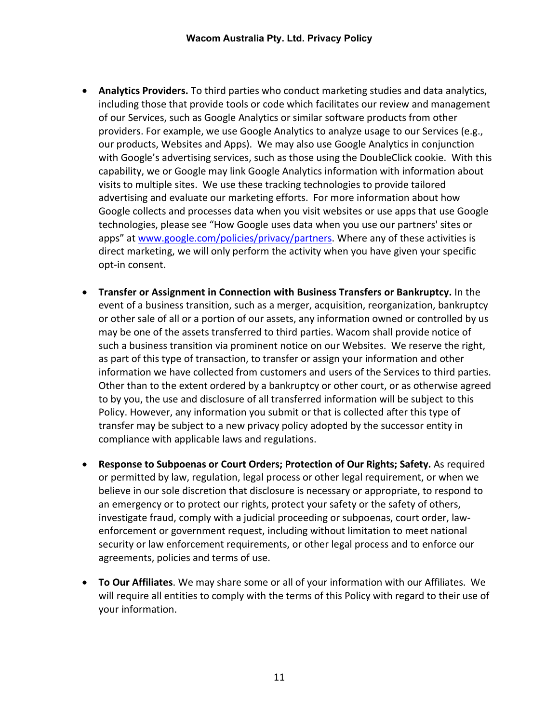- **Analytics Providers.** To third parties who conduct marketing studies and data analytics, including those that provide tools or code which facilitates our review and management of our Services, such as Google Analytics or similar software products from other providers. For example, we use Google Analytics to analyze usage to our Services (e.g., our products, Websites and Apps). We may also use Google Analytics in conjunction with Google's advertising services, such as those using the DoubleClick cookie. With this capability, we or Google may link Google Analytics information with information about visits to multiple sites. We use these tracking technologies to provide tailored advertising and evaluate our marketing efforts. For more information about how Google collects and processes data when you visit websites or use apps that use Google technologies, please see "How Google uses data when you use our partners' sites or apps" at [www.google.com/policies/privacy/partners.](http://www.google.com/policies/privacy/partners) Where any of these activities is direct marketing, we will only perform the activity when you have given your specific opt-in consent.
- **Transfer or Assignment in Connection with Business Transfers or Bankruptcy.** In the event of a business transition, such as a merger, acquisition, reorganization, bankruptcy or other sale of all or a portion of our assets, any information owned or controlled by us may be one of the assets transferred to third parties. Wacom shall provide notice of such a business transition via prominent notice on our Websites. We reserve the right, as part of this type of transaction, to transfer or assign your information and other information we have collected from customers and users of the Services to third parties. Other than to the extent ordered by a bankruptcy or other court, or as otherwise agreed to by you, the use and disclosure of all transferred information will be subject to this Policy. However, any information you submit or that is collected after this type of transfer may be subject to a new privacy policy adopted by the successor entity in compliance with applicable laws and regulations.
- **Response to Subpoenas or Court Orders; Protection of Our Rights; Safety.** As required or permitted by law, regulation, legal process or other legal requirement, or when we believe in our sole discretion that disclosure is necessary or appropriate, to respond to an emergency or to protect our rights, protect your safety or the safety of others, investigate fraud, comply with a judicial proceeding or subpoenas, court order, lawenforcement or government request, including without limitation to meet national security or law enforcement requirements, or other legal process and to enforce our agreements, policies and terms of use.
- **To Our Affiliates**. We may share some or all of your information with our Affiliates. We will require all entities to comply with the terms of this Policy with regard to their use of your information.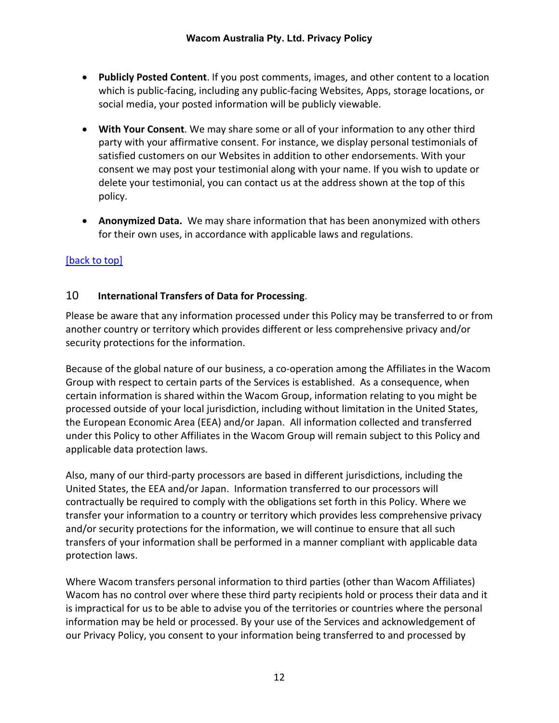- **Publicly Posted Content**. If you post comments, images, and other content to a location which is public-facing, including any public-facing Websites, Apps, storage locations, or social media, your posted information will be publicly viewable.
- **With Your Consent**. We may share some or all of your information to any other third party with your affirmative consent. For instance, we display personal testimonials of satisfied customers on our Websites in addition to other endorsements. With your consent we may post your testimonial along with your name. If you wish to update or delete your testimonial, you can contact us at the address shown at the top of this policy.
- **Anonymized Data.** We may share information that has been anonymized with others for their own uses, in accordance with applicable laws and regulations.

## [\[back to top\]](#page-0-1)

## <span id="page-11-0"></span>10 **International Transfers of Data for Processing**.

Please be aware that any information processed under this Policy may be transferred to or from another country or territory which provides different or less comprehensive privacy and/or security protections for the information.

Because of the global nature of our business, a co-operation among the Affiliates in the Wacom Group with respect to certain parts of the Services is established. As a consequence, when certain information is shared within the Wacom Group, information relating to you might be processed outside of your local jurisdiction, including without limitation in the United States, the European Economic Area (EEA) and/or Japan. All information collected and transferred under this Policy to other Affiliates in the Wacom Group will remain subject to this Policy and applicable data protection laws.

Also, many of our third-party processors are based in different jurisdictions, including the United States, the EEA and/or Japan. Information transferred to our processors will contractually be required to comply with the obligations set forth in this Policy. Where we transfer your information to a country or territory which provides less comprehensive privacy and/or security protections for the information, we will continue to ensure that all such transfers of your information shall be performed in a manner compliant with applicable data protection laws.

Where Wacom transfers personal information to third parties (other than Wacom Affiliates) Wacom has no control over where these third party recipients hold or process their data and it is impractical for us to be able to advise you of the territories or countries where the personal information may be held or processed. By your use of the Services and acknowledgement of our Privacy Policy, you consent to your information being transferred to and processed by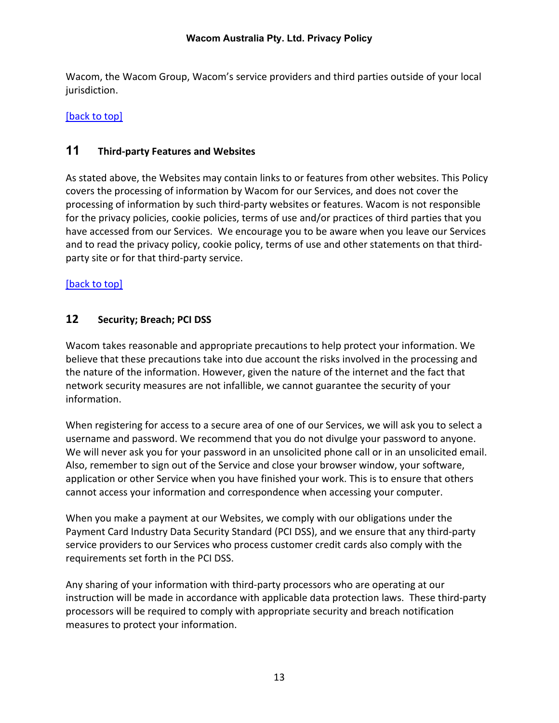Wacom, the Wacom Group, Wacom's service providers and third parties outside of your local jurisdiction.

## [\[back to top\]](#page-0-1)

## <span id="page-12-0"></span>**11 Third-party Features and Websites**

As stated above, the Websites may contain links to or features from other websites. This Policy covers the processing of information by Wacom for our Services, and does not cover the processing of information by such third-party websites or features. Wacom is not responsible for the privacy policies, cookie policies, terms of use and/or practices of third parties that you have accessed from our Services. We encourage you to be aware when you leave our Services and to read the privacy policy, cookie policy, terms of use and other statements on that thirdparty site or for that third-party service.

#### [\[back to top\]](#page-0-1)

## <span id="page-12-1"></span>**12 Security; Breach; PCI DSS**

Wacom takes reasonable and appropriate precautions to help protect your information. We believe that these precautions take into due account the risks involved in the processing and the nature of the information. However, given the nature of the internet and the fact that network security measures are not infallible, we cannot guarantee the security of your information.

When registering for access to a secure area of one of our Services, we will ask you to select a username and password. We recommend that you do not divulge your password to anyone. We will never ask you for your password in an unsolicited phone call or in an unsolicited email. Also, remember to sign out of the Service and close your browser window, your software, application or other Service when you have finished your work. This is to ensure that others cannot access your information and correspondence when accessing your computer.

When you make a payment at our Websites, we comply with our obligations under the Payment Card Industry Data Security Standard (PCI DSS), and we ensure that any third-party service providers to our Services who process customer credit cards also comply with the requirements set forth in the PCI DSS.

Any sharing of your information with third-party processors who are operating at our instruction will be made in accordance with applicable data protection laws. These third-party processors will be required to comply with appropriate security and breach notification measures to protect your information.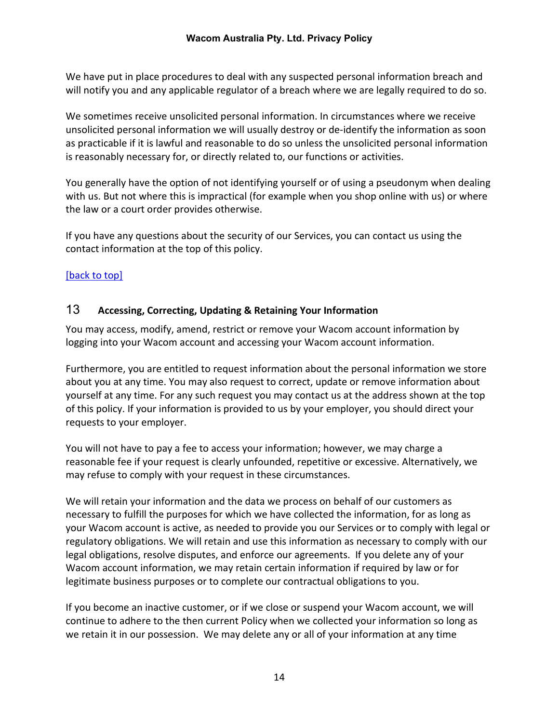We have put in place procedures to deal with any suspected personal information breach and will notify you and any applicable regulator of a breach where we are legally required to do so.

We sometimes receive unsolicited personal information. In circumstances where we receive unsolicited personal information we will usually destroy or de-identify the information as soon as practicable if it is lawful and reasonable to do so unless the unsolicited personal information is reasonably necessary for, or directly related to, our functions or activities.

You generally have the option of not identifying yourself or of using a pseudonym when dealing with us. But not where this is impractical (for example when you shop online with us) or where the law or a court order provides otherwise.

If you have any questions about the security of our Services, you can contact us using the contact information at the top of this policy.

## [\[back to top\]](#page-0-1)

#### <span id="page-13-0"></span>13 **Accessing, Correcting, Updating & Retaining Your Information**

You may access, modify, amend, restrict or remove your Wacom account information by logging into your Wacom account and accessing your Wacom account information.

Furthermore, you are entitled to request information about the personal information we store about you at any time. You may also request to correct, update or remove information about yourself at any time. For any such request you may contact us at the address shown at the top of this policy. If your information is provided to us by your employer, you should direct your requests to your employer.

You will not have to pay a fee to access your information; however, we may charge a reasonable fee if your request is clearly unfounded, repetitive or excessive. Alternatively, we may refuse to comply with your request in these circumstances.

We will retain your information and the data we process on behalf of our customers as necessary to fulfill the purposes for which we have collected the information, for as long as your Wacom account is active, as needed to provide you our Services or to comply with legal or regulatory obligations. We will retain and use this information as necessary to comply with our legal obligations, resolve disputes, and enforce our agreements. If you delete any of your Wacom account information, we may retain certain information if required by law or for legitimate business purposes or to complete our contractual obligations to you.

If you become an inactive customer, or if we close or suspend your Wacom account, we will continue to adhere to the then current Policy when we collected your information so long as we retain it in our possession. We may delete any or all of your information at any time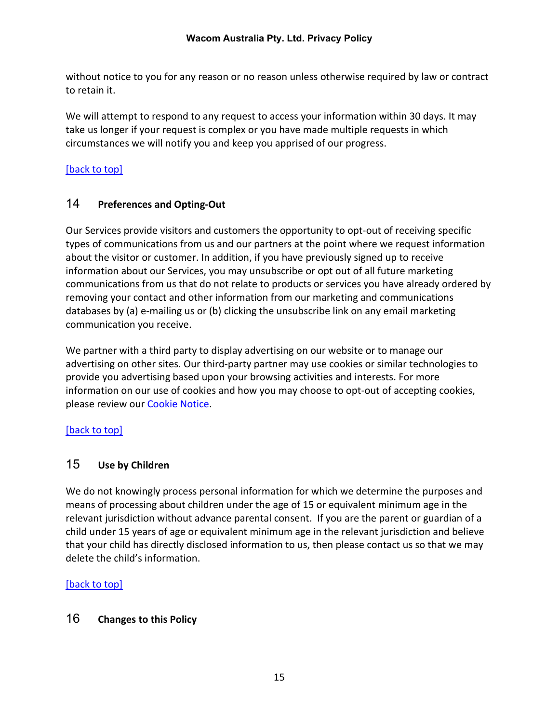without notice to you for any reason or no reason unless otherwise required by law or contract to retain it.

We will attempt to respond to any request to access your information within 30 days. It may take us longer if your request is complex or you have made multiple requests in which circumstances we will notify you and keep you apprised of our progress.

# [\[back to top\]](#page-0-1)

# <span id="page-14-0"></span>14 **Preferences and Opting-Out**

Our Services provide visitors and customers the opportunity to opt-out of receiving specific types of communications from us and our partners at the point where we request information about the visitor or customer. In addition, if you have previously signed up to receive information about our Services, you may unsubscribe or opt out of all future marketing communications from us that do not relate to products or services you have already ordered by removing your contact and other information from our marketing and communications databases by (a) e-mailing us or (b) clicking the unsubscribe link on any email marketing communication you receive.

We partner with a third party to display advertising on our website or to manage our advertising on other sites. Our third-party partner may use cookies or similar technologies to provide you advertising based upon your browsing activities and interests. For more information on our use of cookies and how you may choose to opt-out of accepting cookies, please review our **Cookie Notice**.

## [\[back to top\]](#page-0-1)

# <span id="page-14-1"></span>15 **Use by Children**

We do not knowingly process personal information for which we determine the purposes and means of processing about children under the age of 15 or equivalent minimum age in the relevant jurisdiction without advance parental consent. If you are the parent or guardian of a child under 15 years of age or equivalent minimum age in the relevant jurisdiction and believe that your child has directly disclosed information to us, then please contact us so that we may delete the child's information.

# [\[back to top\]](#page-0-1)

# <span id="page-14-2"></span>16 **Changes to this Policy**